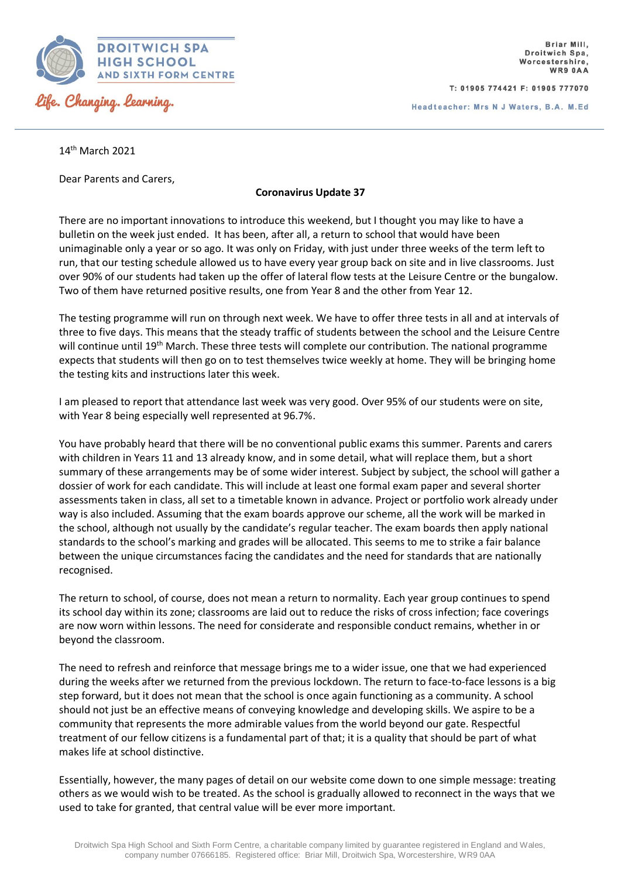

T: 01905 774421 F: 01905 777070

Headteacher: Mrs N J Waters, B.A. M.Ed

14th March 2021

Dear Parents and Carers,

## **Coronavirus Update 37**

There are no important innovations to introduce this weekend, but I thought you may like to have a bulletin on the week just ended. It has been, after all, a return to school that would have been unimaginable only a year or so ago. It was only on Friday, with just under three weeks of the term left to run, that our testing schedule allowed us to have every year group back on site and in live classrooms. Just over 90% of our students had taken up the offer of lateral flow tests at the Leisure Centre or the bungalow. Two of them have returned positive results, one from Year 8 and the other from Year 12.

The testing programme will run on through next week. We have to offer three tests in all and at intervals of three to five days. This means that the steady traffic of students between the school and the Leisure Centre will continue until 19<sup>th</sup> March. These three tests will complete our contribution. The national programme expects that students will then go on to test themselves twice weekly at home. They will be bringing home the testing kits and instructions later this week.

I am pleased to report that attendance last week was very good. Over 95% of our students were on site, with Year 8 being especially well represented at 96.7%.

You have probably heard that there will be no conventional public exams this summer. Parents and carers with children in Years 11 and 13 already know, and in some detail, what will replace them, but a short summary of these arrangements may be of some wider interest. Subject by subject, the school will gather a dossier of work for each candidate. This will include at least one formal exam paper and several shorter assessments taken in class, all set to a timetable known in advance. Project or portfolio work already under way is also included. Assuming that the exam boards approve our scheme, all the work will be marked in the school, although not usually by the candidate's regular teacher. The exam boards then apply national standards to the school's marking and grades will be allocated. This seems to me to strike a fair balance between the unique circumstances facing the candidates and the need for standards that are nationally recognised.

The return to school, of course, does not mean a return to normality. Each year group continues to spend its school day within its zone; classrooms are laid out to reduce the risks of cross infection; face coverings are now worn within lessons. The need for considerate and responsible conduct remains, whether in or beyond the classroom.

The need to refresh and reinforce that message brings me to a wider issue, one that we had experienced during the weeks after we returned from the previous lockdown. The return to face-to-face lessons is a big step forward, but it does not mean that the school is once again functioning as a community. A school should not just be an effective means of conveying knowledge and developing skills. We aspire to be a community that represents the more admirable values from the world beyond our gate. Respectful treatment of our fellow citizens is a fundamental part of that; it is a quality that should be part of what makes life at school distinctive.

Essentially, however, the many pages of detail on our website come down to one simple message: treating others as we would wish to be treated. As the school is gradually allowed to reconnect in the ways that we used to take for granted, that central value will be ever more important.